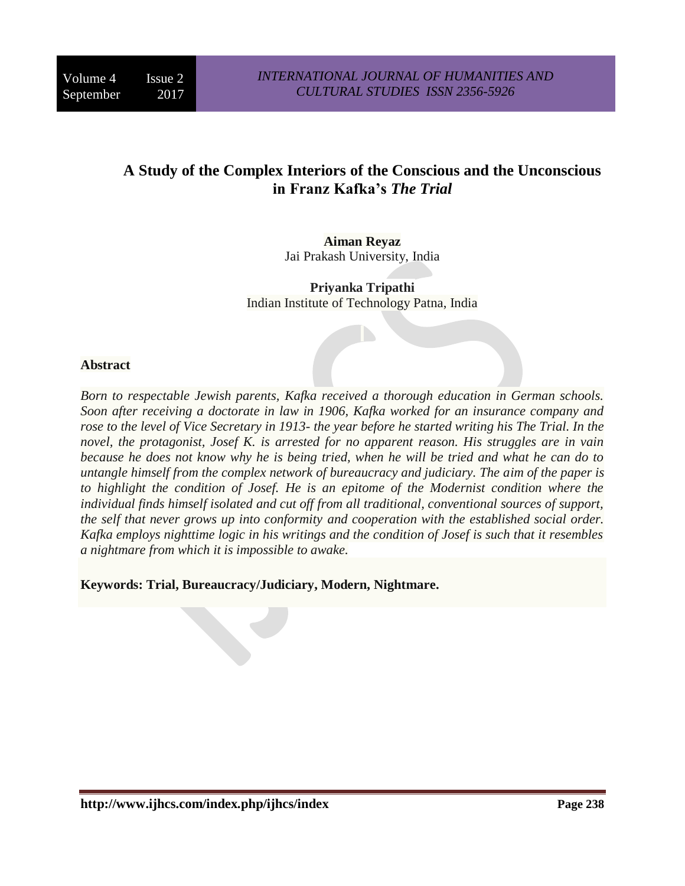# **A Study of the Complex Interiors of the Conscious and the Unconscious in Franz Kafka's** *The Trial*

**Aiman Reyaz** Jai Prakash University, India

**Priyanka Tripathi**  Indian Institute of Technology Patna, India

#### **Abstract**

*Born to respectable Jewish parents, Kafka received a thorough education in German schools. Soon after receiving a doctorate in law in 1906, Kafka worked for an insurance company and rose to the level of Vice Secretary in 1913- the year before he started writing his The Trial. In the novel, the protagonist, Josef K. is arrested for no apparent reason. His struggles are in vain because he does not know why he is being tried, when he will be tried and what he can do to untangle himself from the complex network of bureaucracy and judiciary. The aim of the paper is to highlight the condition of Josef. He is an epitome of the Modernist condition where the individual finds himself isolated and cut off from all traditional, conventional sources of support, the self that never grows up into conformity and cooperation with the established social order. Kafka employs nighttime logic in his writings and the condition of Josef is such that it resembles a nightmare from which it is impossible to awake.*

**Keywords: Trial, Bureaucracy/Judiciary, Modern, Nightmare.**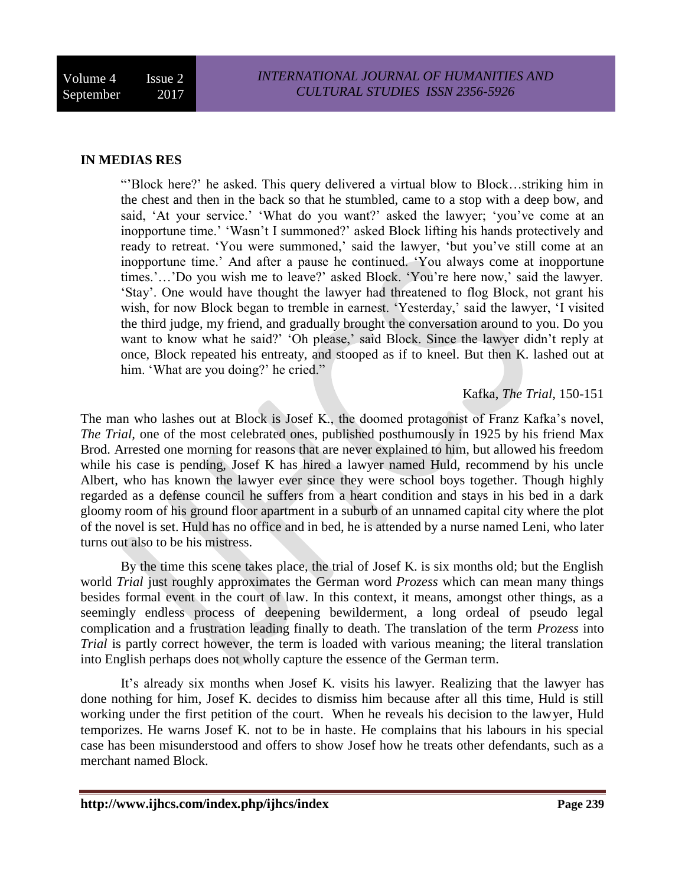#### **IN MEDIAS RES**

"'Block here?' he asked. This query delivered a virtual blow to Block…striking him in the chest and then in the back so that he stumbled, came to a stop with a deep bow, and said, 'At your service.' 'What do you want?' asked the lawyer; 'you've come at an inopportune time.' 'Wasn't I summoned?' asked Block lifting his hands protectively and ready to retreat. 'You were summoned,' said the lawyer, 'but you've still come at an inopportune time.' And after a pause he continued. 'You always come at inopportune times.'…'Do you wish me to leave?' asked Block. 'You're here now,' said the lawyer. 'Stay'. One would have thought the lawyer had threatened to flog Block, not grant his wish, for now Block began to tremble in earnest. 'Yesterday,' said the lawyer, 'I visited the third judge, my friend, and gradually brought the conversation around to you. Do you want to know what he said?' 'Oh please,' said Block. Since the lawyer didn't reply at once, Block repeated his entreaty, and stooped as if to kneel. But then K. lashed out at him. 'What are you doing?' he cried."

## Kafka, *The Trial,* 150-151

The man who lashes out at Block is Josef K., the doomed protagonist of Franz Kafka's novel, *The Trial,* one of the most celebrated ones, published posthumously in 1925 by his friend Max Brod. Arrested one morning for reasons that are never explained to him, but allowed his freedom while his case is pending, Josef K has hired a lawyer named Huld, recommend by his uncle Albert, who has known the lawyer ever since they were school boys together. Though highly regarded as a defense council he suffers from a heart condition and stays in his bed in a dark gloomy room of his ground floor apartment in a suburb of an unnamed capital city where the plot of the novel is set. Huld has no office and in bed, he is attended by a nurse named Leni, who later turns out also to be his mistress.

By the time this scene takes place, the trial of Josef K. is six months old; but the English world *Trial* just roughly approximates the German word *Prozess* which can mean many things besides formal event in the court of law. In this context, it means, amongst other things, as a seemingly endless process of deepening bewilderment, a long ordeal of pseudo legal complication and a frustration leading finally to death. The translation of the term *Prozess* into *Trial* is partly correct however, the term is loaded with various meaning; the literal translation into English perhaps does not wholly capture the essence of the German term.

It's already six months when Josef K. visits his lawyer. Realizing that the lawyer has done nothing for him, Josef K. decides to dismiss him because after all this time, Huld is still working under the first petition of the court. When he reveals his decision to the lawyer, Huld temporizes. He warns Josef K. not to be in haste. He complains that his labours in his special case has been misunderstood and offers to show Josef how he treats other defendants, such as a merchant named Block.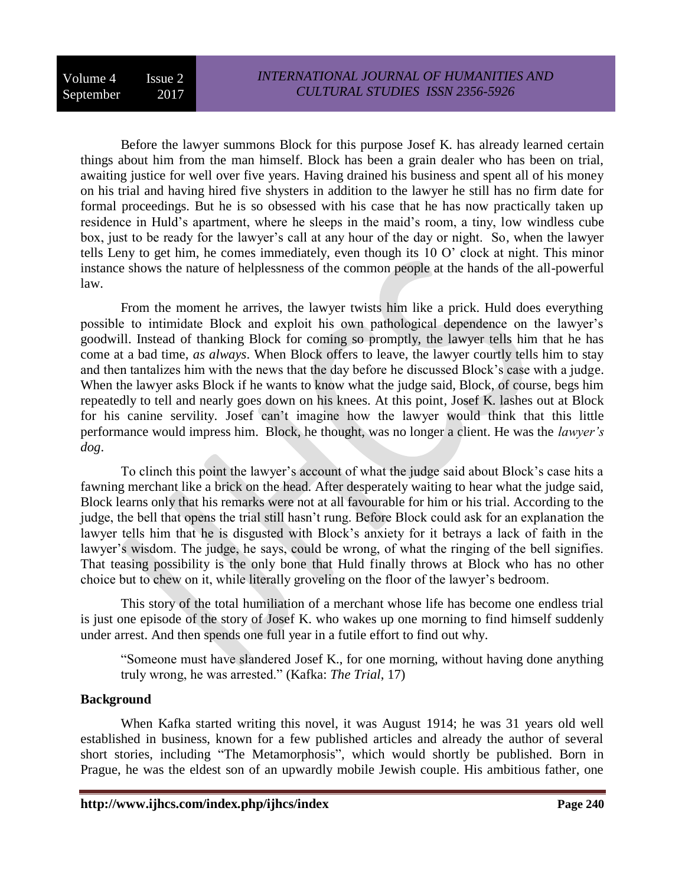Before the lawyer summons Block for this purpose Josef K. has already learned certain things about him from the man himself. Block has been a grain dealer who has been on trial, awaiting justice for well over five years. Having drained his business and spent all of his money on his trial and having hired five shysters in addition to the lawyer he still has no firm date for formal proceedings. But he is so obsessed with his case that he has now practically taken up residence in Huld's apartment, where he sleeps in the maid's room, a tiny, low windless cube box, just to be ready for the lawyer's call at any hour of the day or night. So, when the lawyer tells Leny to get him, he comes immediately, even though its 10 O' clock at night. This minor instance shows the nature of helplessness of the common people at the hands of the all-powerful law.

From the moment he arrives, the lawyer twists him like a prick. Huld does everything possible to intimidate Block and exploit his own pathological dependence on the lawyer's goodwill. Instead of thanking Block for coming so promptly, the lawyer tells him that he has come at a bad time, *as always*. When Block offers to leave, the lawyer courtly tells him to stay and then tantalizes him with the news that the day before he discussed Block's case with a judge. When the lawyer asks Block if he wants to know what the judge said, Block, of course, begs him repeatedly to tell and nearly goes down on his knees. At this point, Josef K. lashes out at Block for his canine servility. Josef can't imagine how the lawyer would think that this little performance would impress him. Block, he thought, was no longer a client. He was the *lawyer's dog*.

To clinch this point the lawyer's account of what the judge said about Block's case hits a fawning merchant like a brick on the head. After desperately waiting to hear what the judge said, Block learns only that his remarks were not at all favourable for him or his trial. According to the judge, the bell that opens the trial still hasn't rung. Before Block could ask for an explanation the lawyer tells him that he is disgusted with Block's anxiety for it betrays a lack of faith in the lawyer's wisdom. The judge, he says, could be wrong, of what the ringing of the bell signifies. That teasing possibility is the only bone that Huld finally throws at Block who has no other choice but to chew on it, while literally groveling on the floor of the lawyer's bedroom.

This story of the total humiliation of a merchant whose life has become one endless trial is just one episode of the story of Josef K. who wakes up one morning to find himself suddenly under arrest. And then spends one full year in a futile effort to find out why.

"Someone must have slandered Josef K., for one morning, without having done anything truly wrong, he was arrested." (Kafka: *The Trial*, 17)

## **Background**

When Kafka started writing this novel, it was August 1914; he was 31 years old well established in business, known for a few published articles and already the author of several short stories, including "The Metamorphosis", which would shortly be published. Born in Prague, he was the eldest son of an upwardly mobile Jewish couple. His ambitious father, one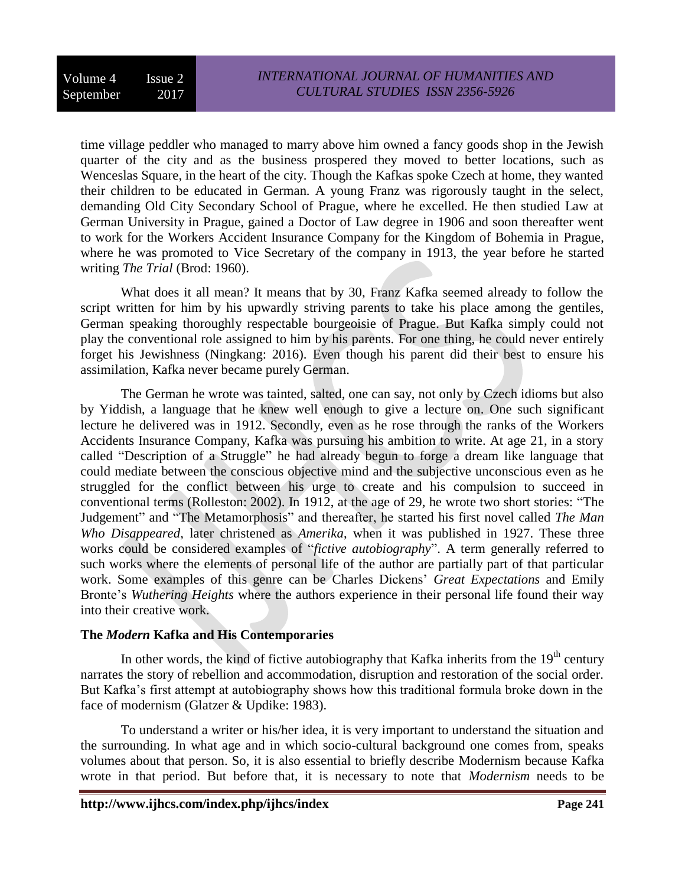time village peddler who managed to marry above him owned a fancy goods shop in the Jewish quarter of the city and as the business prospered they moved to better locations, such as Wenceslas Square, in the heart of the city. Though the Kafkas spoke Czech at home, they wanted their children to be educated in German. A young Franz was rigorously taught in the select, demanding Old City Secondary School of Prague, where he excelled. He then studied Law at German University in Prague, gained a Doctor of Law degree in 1906 and soon thereafter went to work for the Workers Accident Insurance Company for the Kingdom of Bohemia in Prague, where he was promoted to Vice Secretary of the company in 1913, the year before he started writing *The Trial* (Brod: 1960).

What does it all mean? It means that by 30, Franz Kafka seemed already to follow the script written for him by his upwardly striving parents to take his place among the gentiles, German speaking thoroughly respectable bourgeoisie of Prague. But Kafka simply could not play the conventional role assigned to him by his parents. For one thing, he could never entirely forget his Jewishness (Ningkang: 2016). Even though his parent did their best to ensure his assimilation, Kafka never became purely German.

The German he wrote was tainted, salted, one can say, not only by Czech idioms but also by Yiddish, a language that he knew well enough to give a lecture on. One such significant lecture he delivered was in 1912. Secondly, even as he rose through the ranks of the Workers Accidents Insurance Company, Kafka was pursuing his ambition to write. At age 21, in a story called "Description of a Struggle" he had already begun to forge a dream like language that could mediate between the conscious objective mind and the subjective unconscious even as he struggled for the conflict between his urge to create and his compulsion to succeed in conventional terms (Rolleston: 2002). In 1912, at the age of 29, he wrote two short stories: "The Judgement" and "The Metamorphosis" and thereafter, he started his first novel called *The Man Who Disappeared*, later christened as *Amerika*, when it was published in 1927. These three works could be considered examples of "*fictive autobiography*". A term generally referred to such works where the elements of personal life of the author are partially part of that particular work. Some examples of this genre can be Charles Dickens' *Great Expectations* and Emily Bronte's *Wuthering Heights* where the authors experience in their personal life found their way into their creative work.

## **The** *Modern* **Kafka and His Contemporaries**

In other words, the kind of fictive autobiography that Kafka inherits from the  $19<sup>th</sup>$  century narrates the story of rebellion and accommodation, disruption and restoration of the social order. But Kafka's first attempt at autobiography shows how this traditional formula broke down in the face of modernism (Glatzer & Updike: 1983).

To understand a writer or his/her idea, it is very important to understand the situation and the surrounding. In what age and in which socio-cultural background one comes from, speaks volumes about that person. So, it is also essential to briefly describe Modernism because Kafka wrote in that period. But before that, it is necessary to note that *Modernism* needs to be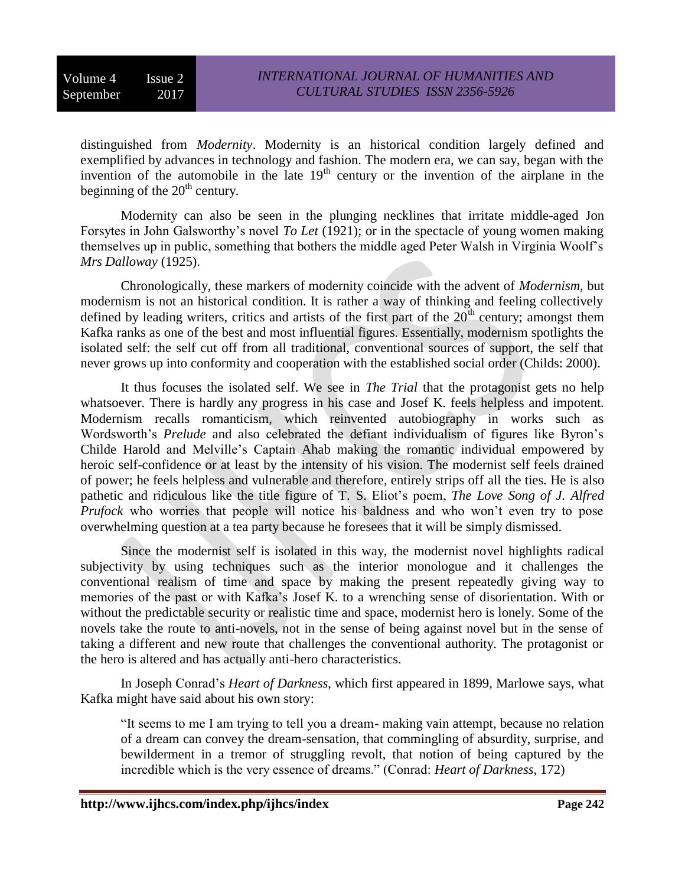distinguished from *Modernity*. Modernity is an historical condition largely defined and exemplified by advances in technology and fashion. The modern era, we can say, began with the invention of the automobile in the late  $19<sup>th</sup>$  century or the invention of the airplane in the beginning of the  $20<sup>th</sup>$  century.

Modernity can also be seen in the plunging necklines that irritate middle-aged Jon Forsytes in John Galsworthy's novel *To Let* (1921); or in the spectacle of young women making themselves up in public, something that bothers the middle aged Peter Walsh in Virginia Woolf's *Mrs Dalloway* (1925).

Chronologically, these markers of modernity coincide with the advent of *Modernism*, but modernism is not an historical condition. It is rather a way of thinking and feeling collectively defined by leading writers, critics and artists of the first part of the  $20<sup>th</sup>$  century; amongst them Kafka ranks as one of the best and most influential figures. Essentially, modernism spotlights the isolated self: the self cut off from all traditional, conventional sources of support, the self that never grows up into conformity and cooperation with the established social order (Childs: 2000).

It thus focuses the isolated self. We see in *The Trial* that the protagonist gets no help whatsoever. There is hardly any progress in his case and Josef K. feels helpless and impotent. Modernism recalls romanticism, which reinvented autobiography in works such as Wordsworth's *Prelude* and also celebrated the defiant individualism of figures like Byron's Childe Harold and Melville's Captain Ahab making the romantic individual empowered by heroic self-confidence or at least by the intensity of his vision. The modernist self feels drained of power; he feels helpless and vulnerable and therefore, entirely strips off all the ties. He is also pathetic and ridiculous like the title figure of T. S. Eliot's poem, *The Love Song of J. Alfred Prufock* who worries that people will notice his baldness and who won't even try to pose overwhelming question at a tea party because he foresees that it will be simply dismissed.

Since the modernist self is isolated in this way, the modernist novel highlights radical subjectivity by using techniques such as the interior monologue and it challenges the conventional realism of time and space by making the present repeatedly giving way to memories of the past or with Kafka's Josef K. to a wrenching sense of disorientation. With or without the predictable security or realistic time and space, modernist hero is lonely. Some of the novels take the route to anti-novels, not in the sense of being against novel but in the sense of taking a different and new route that challenges the conventional authority. The protagonist or the hero is altered and has actually anti-hero characteristics.

In Joseph Conrad's *Heart of Darkness*, which first appeared in 1899, Marlowe says, what Kafka might have said about his own story:

"It seems to me I am trying to tell you a dream- making vain attempt, because no relation of a dream can convey the dream-sensation, that commingling of absurdity, surprise, and bewilderment in a tremor of struggling revolt, that notion of being captured by the incredible which is the very essence of dreams." (Conrad: *Heart of Darkness*, 172)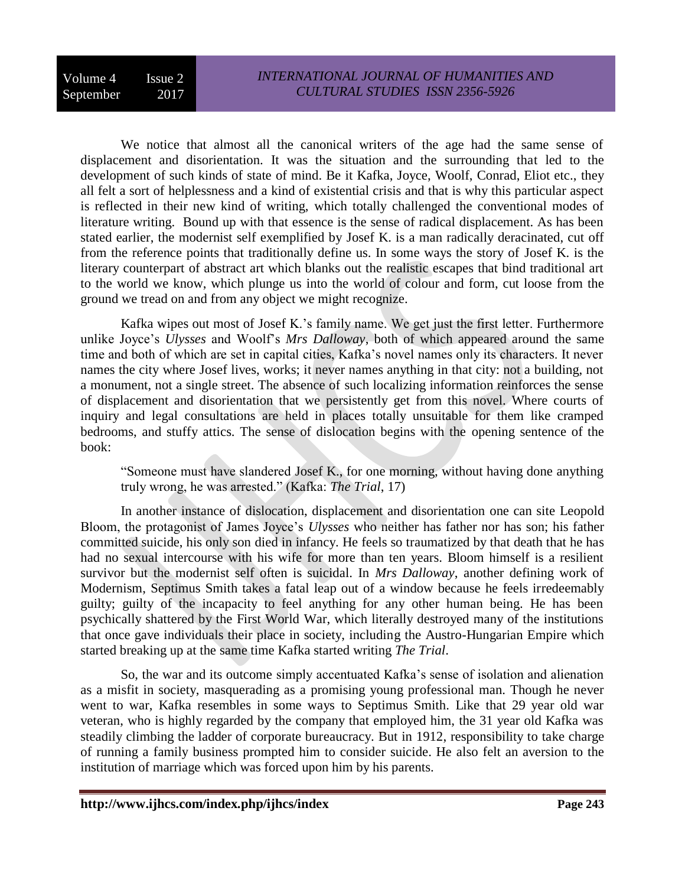We notice that almost all the canonical writers of the age had the same sense of displacement and disorientation. It was the situation and the surrounding that led to the development of such kinds of state of mind. Be it Kafka, Joyce, Woolf, Conrad, Eliot etc., they all felt a sort of helplessness and a kind of existential crisis and that is why this particular aspect is reflected in their new kind of writing, which totally challenged the conventional modes of literature writing. Bound up with that essence is the sense of radical displacement. As has been stated earlier, the modernist self exemplified by Josef K. is a man radically deracinated, cut off from the reference points that traditionally define us. In some ways the story of Josef K. is the literary counterpart of abstract art which blanks out the realistic escapes that bind traditional art to the world we know, which plunge us into the world of colour and form, cut loose from the ground we tread on and from any object we might recognize.

Kafka wipes out most of Josef K.'s family name. We get just the first letter. Furthermore unlike Joyce's *Ulysses* and Woolf's *Mrs Dalloway*, both of which appeared around the same time and both of which are set in capital cities, Kafka's novel names only its characters. It never names the city where Josef lives, works; it never names anything in that city: not a building, not a monument, not a single street. The absence of such localizing information reinforces the sense of displacement and disorientation that we persistently get from this novel. Where courts of inquiry and legal consultations are held in places totally unsuitable for them like cramped bedrooms, and stuffy attics. The sense of dislocation begins with the opening sentence of the book:

"Someone must have slandered Josef K., for one morning, without having done anything truly wrong, he was arrested." (Kafka: *The Trial*, 17)

In another instance of dislocation, displacement and disorientation one can site Leopold Bloom, the protagonist of James Joyce's *Ulysses* who neither has father nor has son; his father committed suicide, his only son died in infancy. He feels so traumatized by that death that he has had no sexual intercourse with his wife for more than ten years. Bloom himself is a resilient survivor but the modernist self often is suicidal. In *Mrs Dalloway*, another defining work of Modernism, Septimus Smith takes a fatal leap out of a window because he feels irredeemably guilty; guilty of the incapacity to feel anything for any other human being. He has been psychically shattered by the First World War, which literally destroyed many of the institutions that once gave individuals their place in society, including the Austro-Hungarian Empire which started breaking up at the same time Kafka started writing *The Trial*.

So, the war and its outcome simply accentuated Kafka's sense of isolation and alienation as a misfit in society, masquerading as a promising young professional man. Though he never went to war, Kafka resembles in some ways to Septimus Smith. Like that 29 year old war veteran, who is highly regarded by the company that employed him, the 31 year old Kafka was steadily climbing the ladder of corporate bureaucracy. But in 1912, responsibility to take charge of running a family business prompted him to consider suicide. He also felt an aversion to the institution of marriage which was forced upon him by his parents.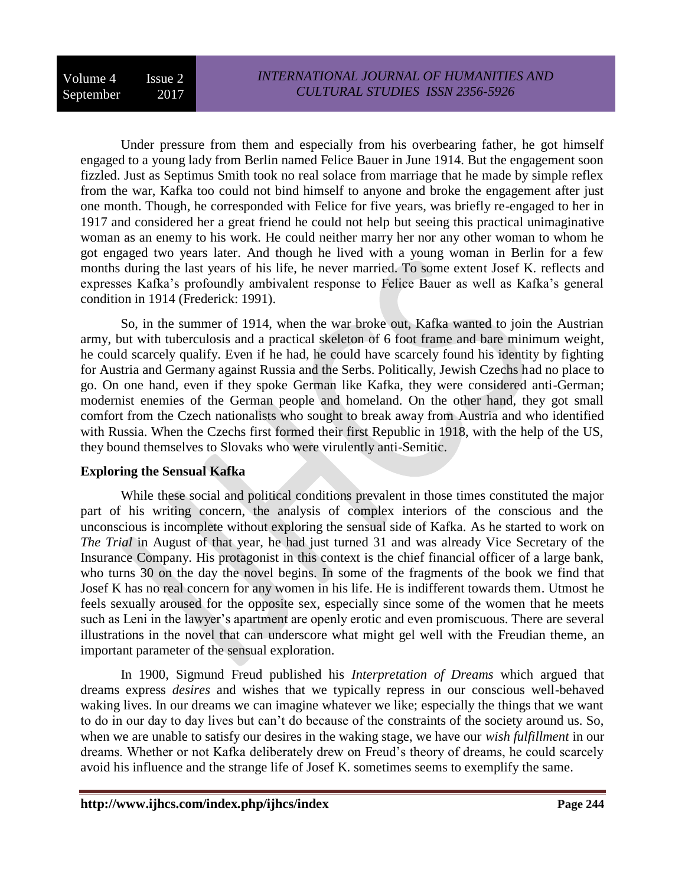Under pressure from them and especially from his overbearing father, he got himself engaged to a young lady from Berlin named Felice Bauer in June 1914. But the engagement soon fizzled. Just as Septimus Smith took no real solace from marriage that he made by simple reflex from the war, Kafka too could not bind himself to anyone and broke the engagement after just one month. Though, he corresponded with Felice for five years, was briefly re-engaged to her in 1917 and considered her a great friend he could not help but seeing this practical unimaginative woman as an enemy to his work. He could neither marry her nor any other woman to whom he got engaged two years later. And though he lived with a young woman in Berlin for a few months during the last years of his life, he never married. To some extent Josef K. reflects and expresses Kafka's profoundly ambivalent response to Felice Bauer as well as Kafka's general condition in 1914 (Frederick: 1991).

So, in the summer of 1914, when the war broke out, Kafka wanted to join the Austrian army, but with tuberculosis and a practical skeleton of 6 foot frame and bare minimum weight, he could scarcely qualify. Even if he had, he could have scarcely found his identity by fighting for Austria and Germany against Russia and the Serbs. Politically, Jewish Czechs had no place to go. On one hand, even if they spoke German like Kafka, they were considered anti-German; modernist enemies of the German people and homeland. On the other hand, they got small comfort from the Czech nationalists who sought to break away from Austria and who identified with Russia. When the Czechs first formed their first Republic in 1918, with the help of the US, they bound themselves to Slovaks who were virulently anti-Semitic.

## **Exploring the Sensual Kafka**

While these social and political conditions prevalent in those times constituted the major part of his writing concern, the analysis of complex interiors of the conscious and the unconscious is incomplete without exploring the sensual side of Kafka. As he started to work on *The Trial* in August of that year, he had just turned 31 and was already Vice Secretary of the Insurance Company. His protagonist in this context is the chief financial officer of a large bank, who turns 30 on the day the novel begins. In some of the fragments of the book we find that Josef K has no real concern for any women in his life. He is indifferent towards them. Utmost he feels sexually aroused for the opposite sex, especially since some of the women that he meets such as Leni in the lawyer's apartment are openly erotic and even promiscuous. There are several illustrations in the novel that can underscore what might gel well with the Freudian theme, an important parameter of the sensual exploration.

In 1900, Sigmund Freud published his *Interpretation of Dreams* which argued that dreams express *desires* and wishes that we typically repress in our conscious well-behaved waking lives. In our dreams we can imagine whatever we like; especially the things that we want to do in our day to day lives but can't do because of the constraints of the society around us. So, when we are unable to satisfy our desires in the waking stage, we have our *wish fulfillment* in our dreams. Whether or not Kafka deliberately drew on Freud's theory of dreams, he could scarcely avoid his influence and the strange life of Josef K. sometimes seems to exemplify the same.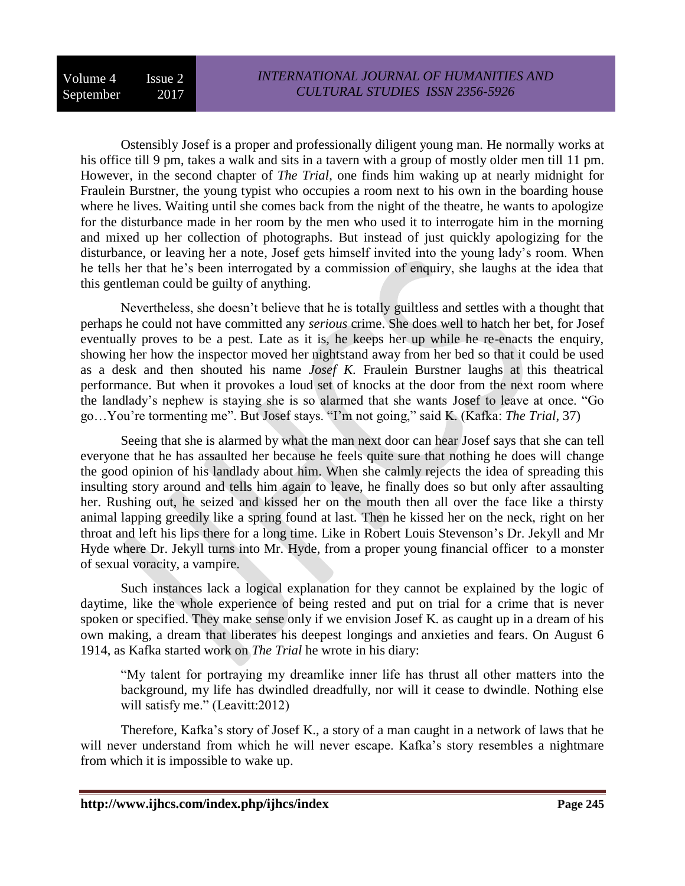Ostensibly Josef is a proper and professionally diligent young man. He normally works at his office till 9 pm, takes a walk and sits in a tavern with a group of mostly older men till 11 pm. However, in the second chapter of *The Trial*, one finds him waking up at nearly midnight for Fraulein Burstner, the young typist who occupies a room next to his own in the boarding house where he lives. Waiting until she comes back from the night of the theatre, he wants to apologize for the disturbance made in her room by the men who used it to interrogate him in the morning and mixed up her collection of photographs. But instead of just quickly apologizing for the disturbance, or leaving her a note, Josef gets himself invited into the young lady's room. When he tells her that he's been interrogated by a commission of enquiry, she laughs at the idea that this gentleman could be guilty of anything.

Nevertheless, she doesn't believe that he is totally guiltless and settles with a thought that perhaps he could not have committed any *serious* crime. She does well to hatch her bet, for Josef eventually proves to be a pest. Late as it is, he keeps her up while he re-enacts the enquiry, showing her how the inspector moved her nightstand away from her bed so that it could be used as a desk and then shouted his name *Josef K*. Fraulein Burstner laughs at this theatrical performance. But when it provokes a loud set of knocks at the door from the next room where the landlady's nephew is staying she is so alarmed that she wants Josef to leave at once. "Go go…You're tormenting me". But Josef stays. "I'm not going," said K. (Kafka: *The Trial*, 37)

Seeing that she is alarmed by what the man next door can hear Josef says that she can tell everyone that he has assaulted her because he feels quite sure that nothing he does will change the good opinion of his landlady about him. When she calmly rejects the idea of spreading this insulting story around and tells him again to leave, he finally does so but only after assaulting her. Rushing out, he seized and kissed her on the mouth then all over the face like a thirsty animal lapping greedily like a spring found at last. Then he kissed her on the neck, right on her throat and left his lips there for a long time. Like in Robert Louis Stevenson's Dr. Jekyll and Mr Hyde where Dr. Jekyll turns into Mr. Hyde, from a proper young financial officer to a monster of sexual voracity, a vampire.

Such instances lack a logical explanation for they cannot be explained by the logic of daytime, like the whole experience of being rested and put on trial for a crime that is never spoken or specified. They make sense only if we envision Josef K. as caught up in a dream of his own making, a dream that liberates his deepest longings and anxieties and fears. On August 6 1914, as Kafka started work on *The Trial* he wrote in his diary:

"My talent for portraying my dreamlike inner life has thrust all other matters into the background, my life has dwindled dreadfully, nor will it cease to dwindle. Nothing else will satisfy me." (Leavitt:2012)

Therefore, Kafka's story of Josef K., a story of a man caught in a network of laws that he will never understand from which he will never escape. Kafka's story resembles a nightmare from which it is impossible to wake up.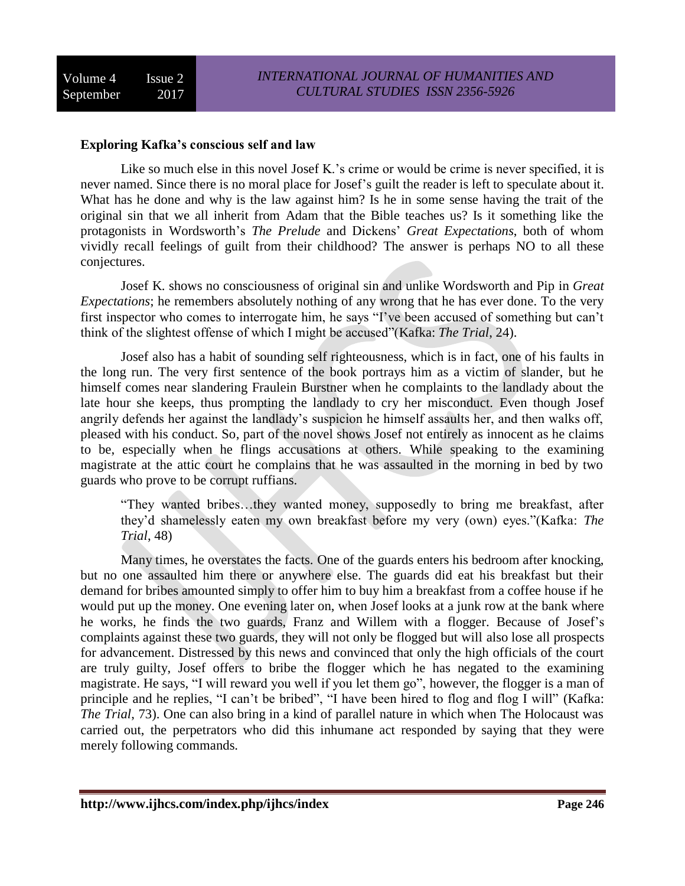#### **Exploring Kafka's conscious self and law**

Like so much else in this novel Josef K.'s crime or would be crime is never specified, it is never named. Since there is no moral place for Josef's guilt the reader is left to speculate about it. What has he done and why is the law against him? Is he in some sense having the trait of the original sin that we all inherit from Adam that the Bible teaches us? Is it something like the protagonists in Wordsworth's *The Prelude* and Dickens' *Great Expectations*, both of whom vividly recall feelings of guilt from their childhood? The answer is perhaps NO to all these conjectures.

Josef K. shows no consciousness of original sin and unlike Wordsworth and Pip in *Great Expectations*; he remembers absolutely nothing of any wrong that he has ever done. To the very first inspector who comes to interrogate him, he says "I've been accused of something but can't think of the slightest offense of which I might be accused"(Kafka: *The Trial*, 24).

Josef also has a habit of sounding self righteousness, which is in fact, one of his faults in the long run. The very first sentence of the book portrays him as a victim of slander, but he himself comes near slandering Fraulein Burstner when he complaints to the landlady about the late hour she keeps, thus prompting the landlady to cry her misconduct. Even though Josef angrily defends her against the landlady's suspicion he himself assaults her, and then walks off, pleased with his conduct. So, part of the novel shows Josef not entirely as innocent as he claims to be, especially when he flings accusations at others. While speaking to the examining magistrate at the attic court he complains that he was assaulted in the morning in bed by two guards who prove to be corrupt ruffians.

"They wanted bribes…they wanted money, supposedly to bring me breakfast, after they'd shamelessly eaten my own breakfast before my very (own) eyes."(Kafka: *The Trial*, 48)

Many times, he overstates the facts. One of the guards enters his bedroom after knocking, but no one assaulted him there or anywhere else. The guards did eat his breakfast but their demand for bribes amounted simply to offer him to buy him a breakfast from a coffee house if he would put up the money. One evening later on, when Josef looks at a junk row at the bank where he works, he finds the two guards, Franz and Willem with a flogger. Because of Josef's complaints against these two guards, they will not only be flogged but will also lose all prospects for advancement. Distressed by this news and convinced that only the high officials of the court are truly guilty, Josef offers to bribe the flogger which he has negated to the examining magistrate. He says, "I will reward you well if you let them go", however, the flogger is a man of principle and he replies, "I can't be bribed", "I have been hired to flog and flog I will" (Kafka: *The Trial*, 73). One can also bring in a kind of parallel nature in which when The Holocaust was carried out, the perpetrators who did this inhumane act responded by saying that they were merely following commands.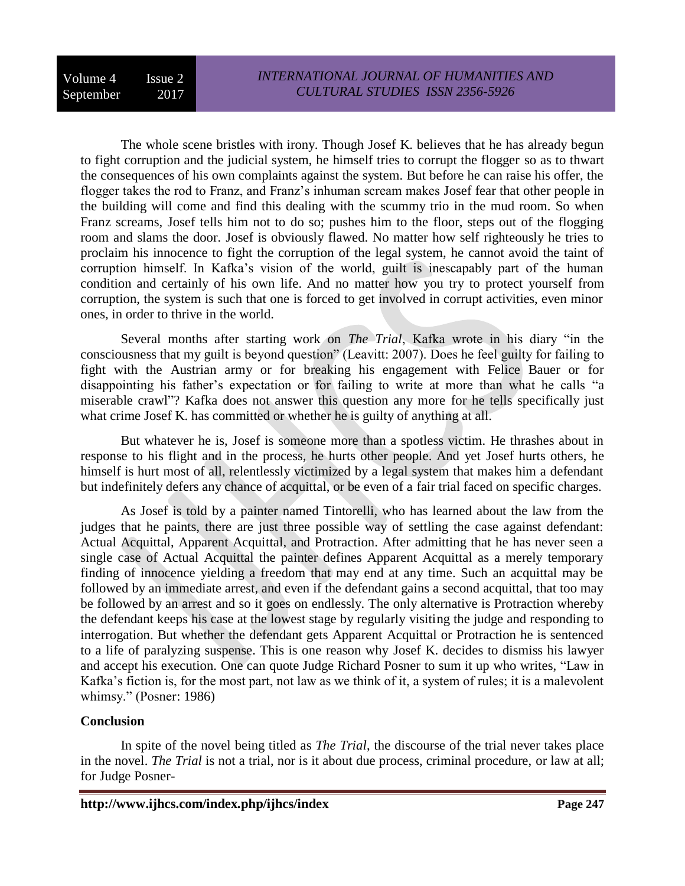The whole scene bristles with irony. Though Josef K. believes that he has already begun to fight corruption and the judicial system, he himself tries to corrupt the flogger so as to thwart the consequences of his own complaints against the system. But before he can raise his offer, the flogger takes the rod to Franz, and Franz's inhuman scream makes Josef fear that other people in the building will come and find this dealing with the scummy trio in the mud room. So when Franz screams, Josef tells him not to do so; pushes him to the floor, steps out of the flogging room and slams the door. Josef is obviously flawed. No matter how self righteously he tries to proclaim his innocence to fight the corruption of the legal system, he cannot avoid the taint of corruption himself. In Kafka's vision of the world, guilt is inescapably part of the human condition and certainly of his own life. And no matter how you try to protect yourself from corruption, the system is such that one is forced to get involved in corrupt activities, even minor ones, in order to thrive in the world.

Several months after starting work on *The Trial*, Kafka wrote in his diary "in the consciousness that my guilt is beyond question" (Leavitt: 2007). Does he feel guilty for failing to fight with the Austrian army or for breaking his engagement with Felice Bauer or for disappointing his father's expectation or for failing to write at more than what he calls "a miserable crawl"? Kafka does not answer this question any more for he tells specifically just what crime Josef K. has committed or whether he is guilty of anything at all.

But whatever he is, Josef is someone more than a spotless victim. He thrashes about in response to his flight and in the process, he hurts other people. And yet Josef hurts others, he himself is hurt most of all, relentlessly victimized by a legal system that makes him a defendant but indefinitely defers any chance of acquittal, or be even of a fair trial faced on specific charges.

As Josef is told by a painter named Tintorelli, who has learned about the law from the judges that he paints, there are just three possible way of settling the case against defendant: Actual Acquittal, Apparent Acquittal, and Protraction. After admitting that he has never seen a single case of Actual Acquittal the painter defines Apparent Acquittal as a merely temporary finding of innocence yielding a freedom that may end at any time. Such an acquittal may be followed by an immediate arrest, and even if the defendant gains a second acquittal, that too may be followed by an arrest and so it goes on endlessly. The only alternative is Protraction whereby the defendant keeps his case at the lowest stage by regularly visiting the judge and responding to interrogation. But whether the defendant gets Apparent Acquittal or Protraction he is sentenced to a life of paralyzing suspense. This is one reason why Josef K. decides to dismiss his lawyer and accept his execution. One can quote Judge Richard Posner to sum it up who writes, "Law in Kafka's fiction is, for the most part, not law as we think of it, a system of rules; it is a malevolent whimsy." (Posner: 1986)

## **Conclusion**

In spite of the novel being titled as *The Trial*, the discourse of the trial never takes place in the novel. *The Trial* is not a trial, nor is it about due process, criminal procedure, or law at all; for Judge Posner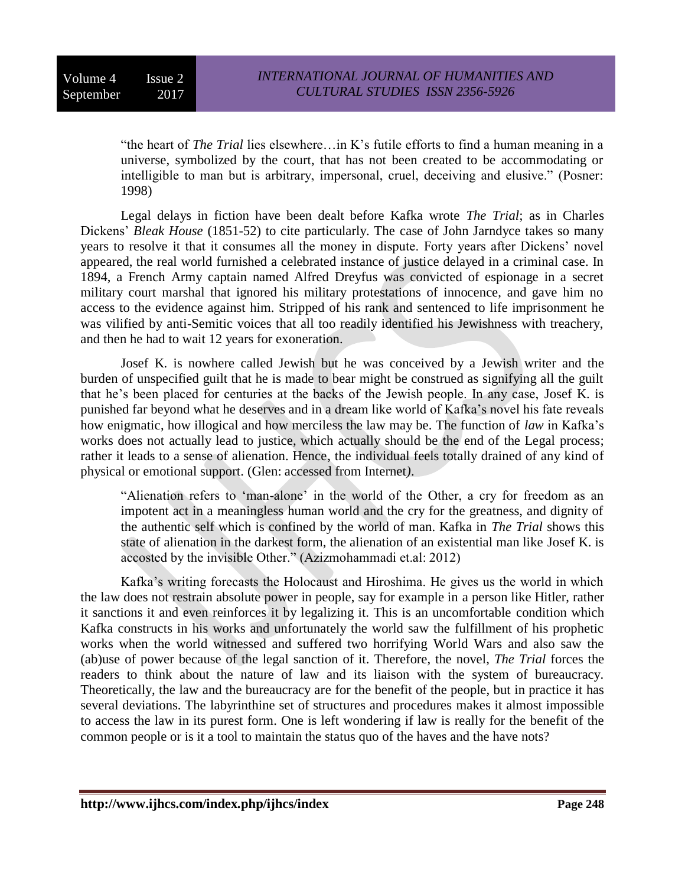"the heart of *The Trial* lies elsewhere…in K's futile efforts to find a human meaning in a universe, symbolized by the court, that has not been created to be accommodating or intelligible to man but is arbitrary, impersonal, cruel, deceiving and elusive." (Posner: 1998)

Legal delays in fiction have been dealt before Kafka wrote *The Trial*; as in Charles Dickens' *Bleak House* (1851-52) to cite particularly. The case of John Jarndyce takes so many years to resolve it that it consumes all the money in dispute. Forty years after Dickens' novel appeared, the real world furnished a celebrated instance of justice delayed in a criminal case. In 1894, a French Army captain named Alfred Dreyfus was convicted of espionage in a secret military court marshal that ignored his military protestations of innocence, and gave him no access to the evidence against him. Stripped of his rank and sentenced to life imprisonment he was vilified by anti-Semitic voices that all too readily identified his Jewishness with treachery, and then he had to wait 12 years for exoneration.

Josef K. is nowhere called Jewish but he was conceived by a Jewish writer and the burden of unspecified guilt that he is made to bear might be construed as signifying all the guilt that he's been placed for centuries at the backs of the Jewish people. In any case, Josef K. is punished far beyond what he deserves and in a dream like world of Kafka's novel his fate reveals how enigmatic, how illogical and how merciless the law may be. The function of *law* in Kafka's works does not actually lead to justice, which actually should be the end of the Legal process; rather it leads to a sense of alienation. Hence, the individual feels totally drained of any kind of physical or emotional support. (Glen: accessed from Internet*)*.

"Alienation refers to 'man-alone' in the world of the Other, a cry for freedom as an impotent act in a meaningless human world and the cry for the greatness, and dignity of the authentic self which is confined by the world of man. Kafka in *The Trial* shows this state of alienation in the darkest form, the alienation of an existential man like Josef K. is accosted by the invisible Other." (Azizmohammadi et.al: 2012)

Kafka's writing forecasts the Holocaust and Hiroshima. He gives us the world in which the law does not restrain absolute power in people, say for example in a person like Hitler, rather it sanctions it and even reinforces it by legalizing it. This is an uncomfortable condition which Kafka constructs in his works and unfortunately the world saw the fulfillment of his prophetic works when the world witnessed and suffered two horrifying World Wars and also saw the (ab)use of power because of the legal sanction of it. Therefore, the novel, *The Trial* forces the readers to think about the nature of law and its liaison with the system of bureaucracy. Theoretically, the law and the bureaucracy are for the benefit of the people, but in practice it has several deviations. The labyrinthine set of structures and procedures makes it almost impossible to access the law in its purest form. One is left wondering if law is really for the benefit of the common people or is it a tool to maintain the status quo of the haves and the have nots?